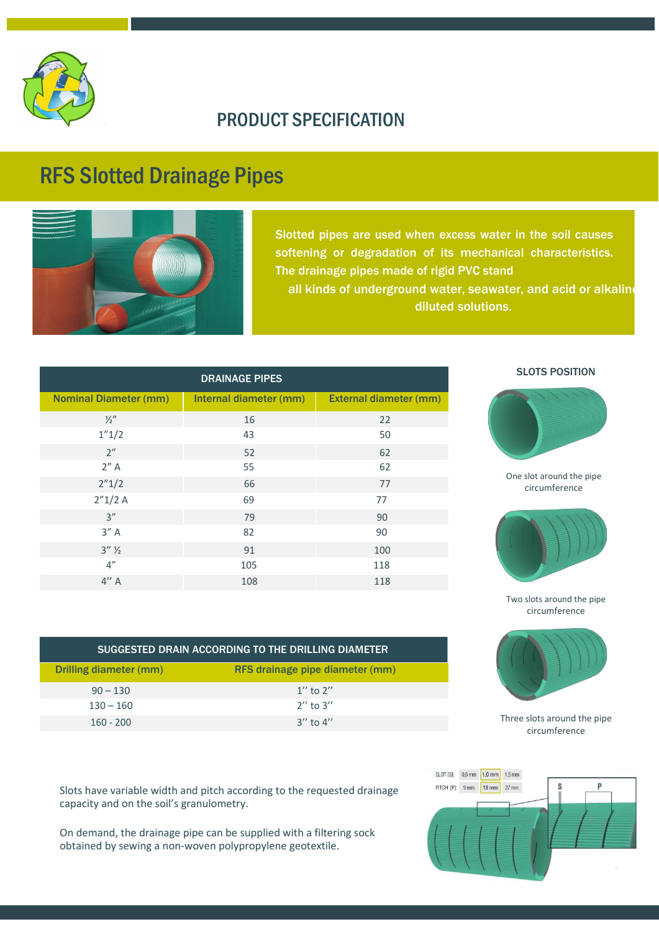

## PRODUCT SPECIFICATION

## RFS Slotted Drainage Pipes



Slotted pipes are used when excess water in the soil causes softening or degradation of its mechanical characteristics. The drainage pipes made of rigid PVC stand all kinds of underground water, seawater, and acid or alkaline diluted solutions.

| <b>DRAINAGE PIPES</b>        |                        |                        |
|------------------------------|------------------------|------------------------|
| <b>Nominal Diameter (mm)</b> | Internal diameter (mm) | External diameter (mm) |
| $\frac{1}{2}$                | 16                     | 22                     |
| 1''1/2                       | 43                     | 50                     |
| 2 <sup>n</sup>               | 52                     | 62                     |
| 2'' A                        | 55                     | 62                     |
| 2''1/2                       | 66                     | 77                     |
| 2''1/2A                      | 69                     | 77                     |
| 3''                          | 79                     | 90                     |
| 3'' A                        | 82                     | 90                     |
| $3''$ $\frac{1}{2}$          | 91                     | 100                    |
| 4"                           | 105                    | 118                    |
| 4'' A                        | 108                    | 118                    |

| SUGGESTED DRAIN ACCORDING TO THE DRILLING DIAMETER |                                 |  |  |  |
|----------------------------------------------------|---------------------------------|--|--|--|
| Drilling diameter (mm)                             | RFS drainage pipe diameter (mm) |  |  |  |
| $90 - 130$                                         | $1''$ to $2''$                  |  |  |  |
| $130 - 160$                                        | $2''$ to $3''$                  |  |  |  |
| $160 - 200$                                        | $3''$ to $4''$                  |  |  |  |

Slots have variable width and pitch according to the requested drainage capacity and on the soil's granulometry.

On demand, the drainage pipe can be supplied with a filtering sock obtained by sewing a non-woven polypropylene geotextile.



SLOTS POSITION

One slot around the pipe circumference

Two slots around the pipe circumference

Three slots around the pipe circumference